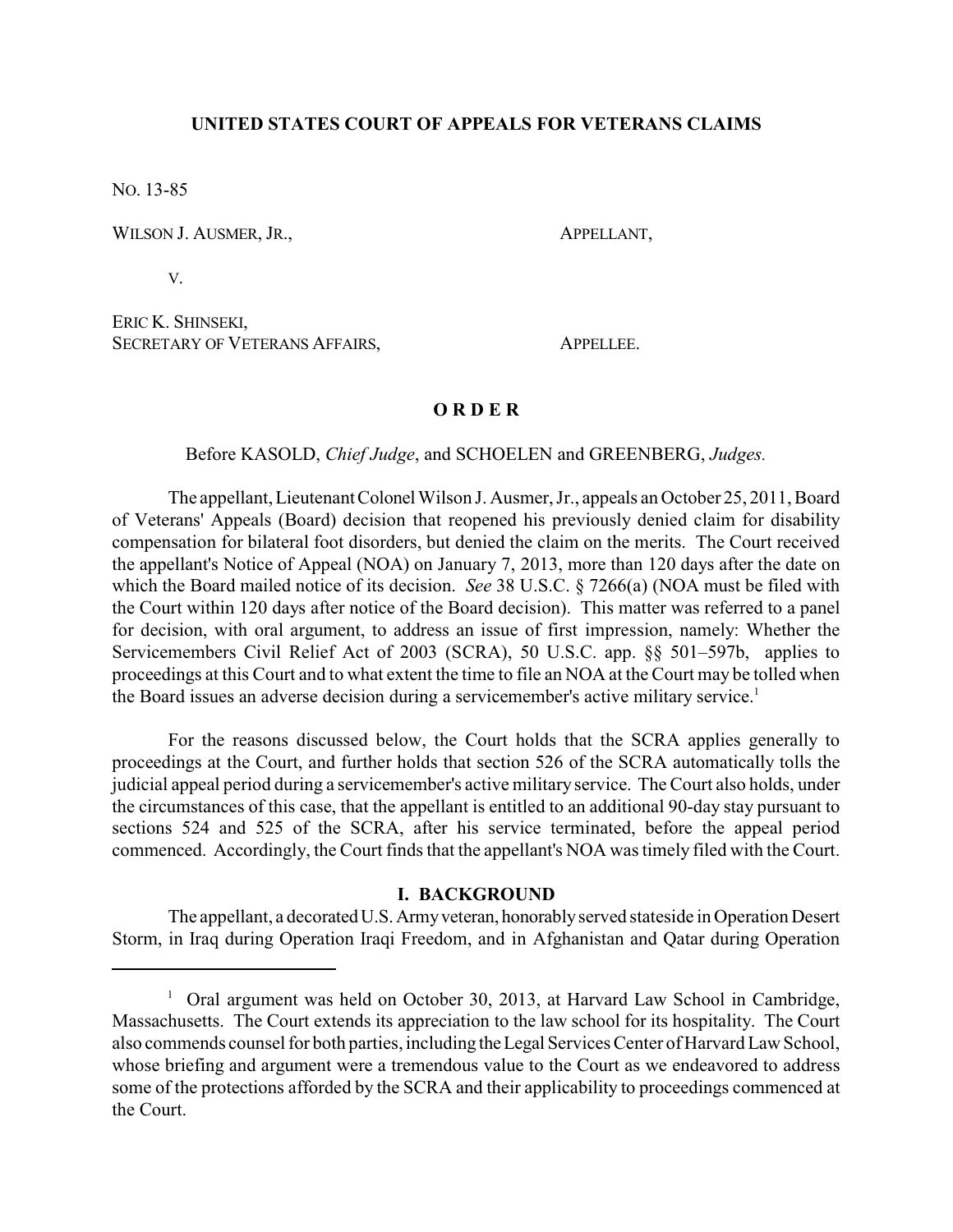# **UNITED STATES COURT OF APPEALS FOR VETERANS CLAIMS**

NO. 13-85

WILSON J. AUSMER, JR., APPELLANT,

V.

ERIC K. SHINSEKI, SECRETARY OF VETERANS AFFAIRS, APPELLEE.

# **O R D E R**

# Before KASOLD, *Chief Judge*, and SCHOELEN and GREENBERG, *Judges.*

The appellant, LieutenantColonel Wilson J. Ausmer, Jr., appeals an October 25, 2011, Board of Veterans' Appeals (Board) decision that reopened his previously denied claim for disability compensation for bilateral foot disorders, but denied the claim on the merits. The Court received the appellant's Notice of Appeal (NOA) on January 7, 2013, more than 120 days after the date on which the Board mailed notice of its decision. *See* 38 U.S.C. § 7266(a) (NOA must be filed with the Court within 120 days after notice of the Board decision). This matter was referred to a panel for decision, with oral argument, to address an issue of first impression, namely: Whether the Servicemembers Civil Relief Act of 2003 (SCRA), 50 U.S.C. app. §§ 501–597b, applies to proceedings at this Court and to what extent the time to file an NOA at the Court may be tolled when the Board issues an adverse decision during a servicemember's active military service. 1

For the reasons discussed below, the Court holds that the SCRA applies generally to proceedings at the Court, and further holds that section 526 of the SCRA automatically tolls the judicial appeal period during a servicemember's active military service. The Court also holds, under the circumstances of this case, that the appellant is entitled to an additional 90-day stay pursuant to sections 524 and 525 of the SCRA, after his service terminated, before the appeal period commenced. Accordingly, the Court finds that the appellant's NOA was timely filed with the Court.

### **I. BACKGROUND**

The appellant, a decorated U.S. Army veteran, honorably served stateside in Operation Desert Storm, in Iraq during Operation Iraqi Freedom, and in Afghanistan and Qatar during Operation

<sup>&</sup>lt;sup>1</sup> Oral argument was held on October 30, 2013, at Harvard Law School in Cambridge, Massachusetts. The Court extends its appreciation to the law school for its hospitality. The Court also commends counsel for both parties, including theLegal Services Center of Harvard Law School, whose briefing and argument were a tremendous value to the Court as we endeavored to address some of the protections afforded by the SCRA and their applicability to proceedings commenced at the Court.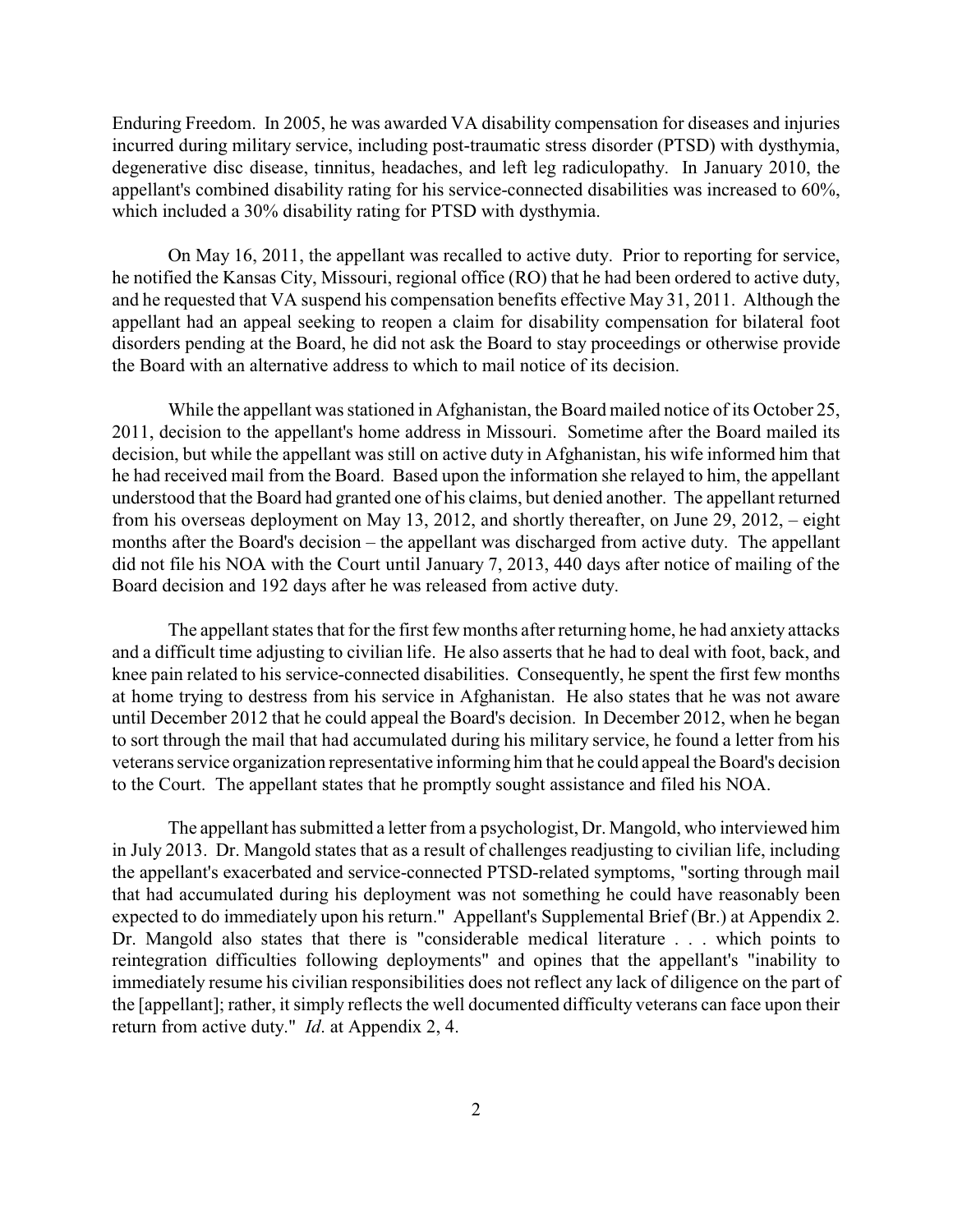Enduring Freedom. In 2005, he was awarded VA disability compensation for diseases and injuries incurred during military service, including post-traumatic stress disorder (PTSD) with dysthymia, degenerative disc disease, tinnitus, headaches, and left leg radiculopathy. In January 2010, the appellant's combined disability rating for his service-connected disabilities was increased to 60%, which included a 30% disability rating for PTSD with dysthymia.

On May 16, 2011, the appellant was recalled to active duty. Prior to reporting for service, he notified the Kansas City, Missouri, regional office (RO) that he had been ordered to active duty, and he requested that VA suspend his compensation benefits effective May 31, 2011. Although the appellant had an appeal seeking to reopen a claim for disability compensation for bilateral foot disorders pending at the Board, he did not ask the Board to stay proceedings or otherwise provide the Board with an alternative address to which to mail notice of its decision.

While the appellant was stationed in Afghanistan, the Board mailed notice of its October 25, 2011, decision to the appellant's home address in Missouri. Sometime after the Board mailed its decision, but while the appellant was still on active duty in Afghanistan, his wife informed him that he had received mail from the Board. Based upon the information she relayed to him, the appellant understood that the Board had granted one of his claims, but denied another. The appellant returned from his overseas deployment on May 13, 2012, and shortly thereafter, on June 29, 2012, – eight months after the Board's decision – the appellant was discharged from active duty. The appellant did not file his NOA with the Court until January 7, 2013, 440 days after notice of mailing of the Board decision and 192 days after he was released from active duty.

The appellant states that for the first few months after returning home, he had anxiety attacks and a difficult time adjusting to civilian life. He also asserts that he had to deal with foot, back, and knee pain related to his service-connected disabilities. Consequently, he spent the first few months at home trying to destress from his service in Afghanistan. He also states that he was not aware until December 2012 that he could appeal the Board's decision. In December 2012, when he began to sort through the mail that had accumulated during his military service, he found a letter from his veterans service organization representative informing him that he could appeal the Board's decision to the Court. The appellant states that he promptly sought assistance and filed his NOA.

The appellant has submitted a letter from a psychologist, Dr. Mangold, who interviewed him in July 2013. Dr. Mangold states that as a result of challenges readjusting to civilian life, including the appellant's exacerbated and service-connected PTSD-related symptoms, "sorting through mail that had accumulated during his deployment was not something he could have reasonably been expected to do immediately upon his return." Appellant's Supplemental Brief (Br.) at Appendix 2. Dr. Mangold also states that there is "considerable medical literature . . . which points to reintegration difficulties following deployments" and opines that the appellant's "inability to immediately resume his civilian responsibilities does not reflect any lack of diligence on the part of the [appellant]; rather, it simply reflects the well documented difficulty veterans can face upon their return from active duty." *Id*. at Appendix 2, 4.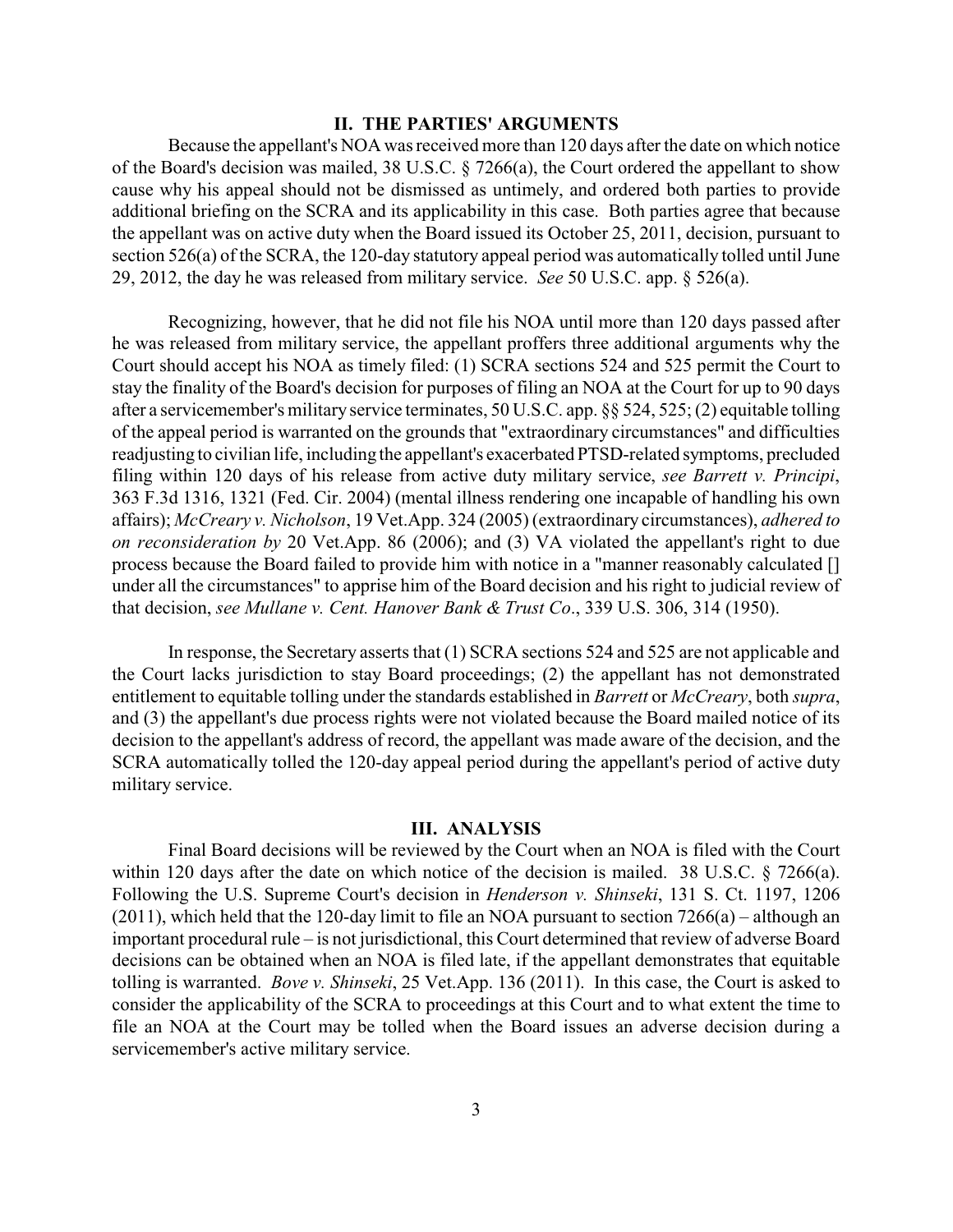## **II. THE PARTIES' ARGUMENTS**

Because the appellant's NOA was received more than 120 days after the date on which notice of the Board's decision was mailed, 38 U.S.C. § 7266(a), the Court ordered the appellant to show cause why his appeal should not be dismissed as untimely, and ordered both parties to provide additional briefing on the SCRA and its applicability in this case. Both parties agree that because the appellant was on active duty when the Board issued its October 25, 2011, decision, pursuant to section 526(a) of the SCRA, the 120-day statutory appeal period was automatically tolled until June 29, 2012, the day he was released from military service. *See* 50 U.S.C. app. § 526(a).

Recognizing, however, that he did not file his NOA until more than 120 days passed after he was released from military service, the appellant proffers three additional arguments why the Court should accept his NOA as timely filed: (1) SCRA sections 524 and 525 permit the Court to stay the finality of the Board's decision for purposes of filing an NOA at the Court for up to 90 days after a servicemember's military service terminates, 50 U.S.C. app. §§ 524, 525; (2) equitable tolling of the appeal period is warranted on the grounds that "extraordinary circumstances" and difficulties readjusting to civilian life, including the appellant's exacerbated PTSD-related symptoms, precluded filing within 120 days of his release from active duty military service, *see Barrett v. Principi*, 363 F.3d 1316, 1321 (Fed. Cir. 2004) (mental illness rendering one incapable of handling his own affairs); *McCreary v. Nicholson*, 19 Vet.App. 324 (2005) (extraordinary circumstances), *adhered to on reconsideration by* 20 Vet.App. 86 (2006); and (3) VA violated the appellant's right to due process because the Board failed to provide him with notice in a "manner reasonably calculated [] under all the circumstances" to apprise him of the Board decision and his right to judicial review of that decision, *see Mullane v. Cent. Hanover Bank & Trust Co*., 339 U.S. 306, 314 (1950).

In response, the Secretary asserts that (1) SCRA sections 524 and 525 are not applicable and the Court lacks jurisdiction to stay Board proceedings; (2) the appellant has not demonstrated entitlement to equitable tolling under the standards established in *Barrett* or *McCreary*, both *supra*, and (3) the appellant's due process rights were not violated because the Board mailed notice of its decision to the appellant's address of record, the appellant was made aware of the decision, and the SCRA automatically tolled the 120-day appeal period during the appellant's period of active duty military service.

### **III. ANALYSIS**

Final Board decisions will be reviewed by the Court when an NOA is filed with the Court within 120 days after the date on which notice of the decision is mailed. 38 U.S.C. § 7266(a). Following the U.S. Supreme Court's decision in *Henderson v. Shinseki*, 131 S. Ct. 1197, 1206 (2011), which held that the 120-day limit to file an NOA pursuant to section 7266(a) – although an important procedural rule – is not jurisdictional, this Court determined that review of adverse Board decisions can be obtained when an NOA is filed late, if the appellant demonstrates that equitable tolling is warranted. *Bove v. Shinseki*, 25 Vet.App. 136 (2011). In this case, the Court is asked to consider the applicability of the SCRA to proceedings at this Court and to what extent the time to file an NOA at the Court may be tolled when the Board issues an adverse decision during a servicemember's active military service.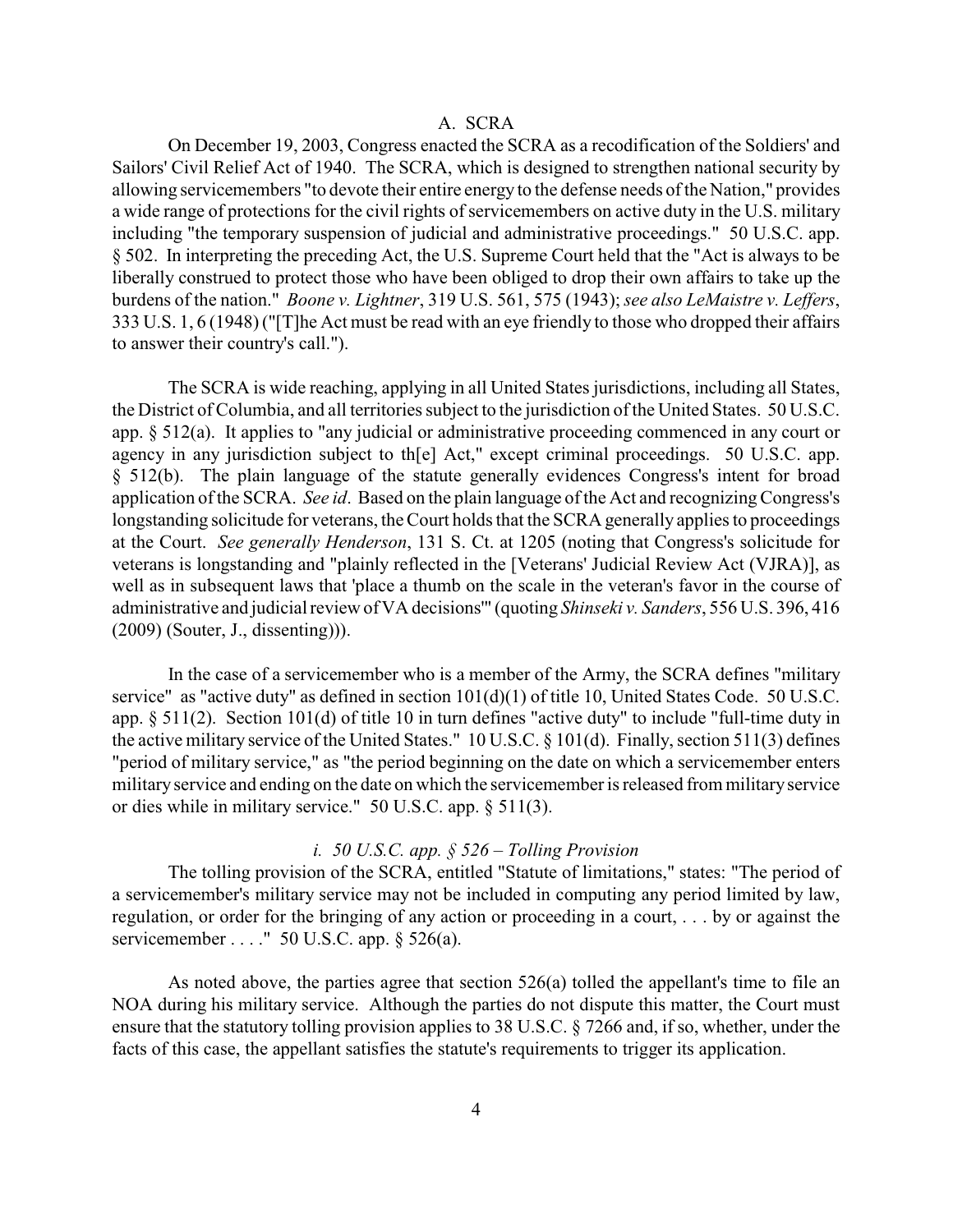### A. SCRA

On December 19, 2003, Congress enacted the SCRA as a recodification of the Soldiers' and Sailors' Civil Relief Act of 1940. The SCRA, which is designed to strengthen national security by allowing servicemembers "to devote their entire energy to the defense needs of the Nation," provides a wide range of protections for the civil rights of servicemembers on active duty in the U.S. military including "the temporary suspension of judicial and administrative proceedings." 50 U.S.C. app. § 502. In interpreting the preceding Act, the U.S. Supreme Court held that the "Act is always to be liberally construed to protect those who have been obliged to drop their own affairs to take up the burdens of the nation." *Boone v. Lightner*, 319 U.S. 561, 575 (1943); *see also LeMaistre v. Leffers*, 333 U.S. 1, 6 (1948) ("[T]he Act must be read with an eye friendly to those who dropped their affairs to answer their country's call.").

The SCRA is wide reaching, applying in all United States jurisdictions, including all States, the District of Columbia, and all territories subject to the jurisdiction of the United States. 50 U.S.C. app. § 512(a). It applies to "any judicial or administrative proceeding commenced in any court or agency in any jurisdiction subject to th[e] Act," except criminal proceedings. 50 U.S.C. app. § 512(b). The plain language of the statute generally evidences Congress's intent for broad application of the SCRA. *See id*. Based on the plain language of the Act and recognizing Congress's longstanding solicitude for veterans, the Court holds that the SCRA generally applies to proceedings at the Court. *See generally Henderson*, 131 S. Ct. at 1205 (noting that Congress's solicitude for veterans is longstanding and "plainly reflected in the [Veterans' Judicial Review Act (VJRA)], as well as in subsequent laws that 'place a thumb on the scale in the veteran's favor in the course of administrative and judicial review of VA decisions'" (quoting *Shinseki v. Sanders*, 556 U.S. 396, 416 (2009) (Souter, J., dissenting))).

In the case of a servicemember who is a member of the Army, the SCRA defines "military service" as "active duty" as defined in section 101(d)(1) of title 10, United States Code. 50 U.S.C. app. § 511(2). Section 101(d) of title 10 in turn defines "active duty" to include "full-time duty in the active military service of the United States." 10 U.S.C. § 101(d). Finally, section 511(3) defines "period of military service," as "the period beginning on the date on which a servicemember enters militaryservice and ending on the date on which the servicemember is released from militaryservice or dies while in military service." 50 U.S.C. app. § 511(3).

### *i. 50 U.S.C. app. § 526 – Tolling Provision*

The tolling provision of the SCRA, entitled "Statute of limitations," states: "The period of a servicemember's military service may not be included in computing any period limited by law, regulation, or order for the bringing of any action or proceeding in a court, . . . by or against the servicemember . . . ." 50 U.S.C. app. § 526(a).

As noted above, the parties agree that section 526(a) tolled the appellant's time to file an NOA during his military service. Although the parties do not dispute this matter, the Court must ensure that the statutory tolling provision applies to 38 U.S.C. § 7266 and, if so, whether, under the facts of this case, the appellant satisfies the statute's requirements to trigger its application.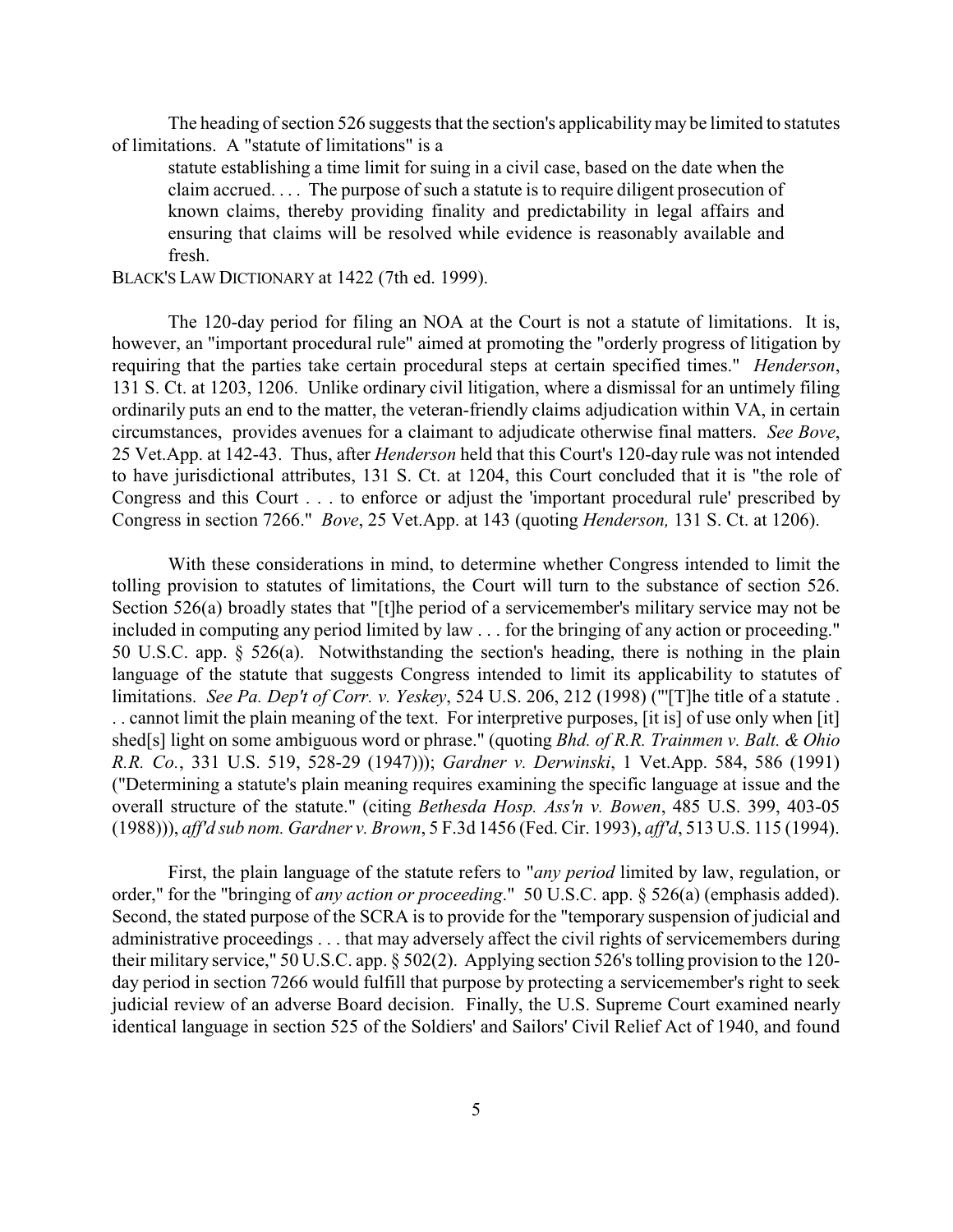The heading of section 526 suggests that the section's applicability may be limited to statutes of limitations. A "statute of limitations" is a

statute establishing a time limit for suing in a civil case, based on the date when the claim accrued. . . . The purpose of such a statute is to require diligent prosecution of known claims, thereby providing finality and predictability in legal affairs and ensuring that claims will be resolved while evidence is reasonably available and fresh.

### BLACK'S LAW DICTIONARY at 1422 (7th ed. 1999).

The 120-day period for filing an NOA at the Court is not a statute of limitations. It is, however, an "important procedural rule" aimed at promoting the "orderly progress of litigation by requiring that the parties take certain procedural steps at certain specified times." *Henderson*, 131 S. Ct. at 1203, 1206. Unlike ordinary civil litigation, where a dismissal for an untimely filing ordinarily puts an end to the matter, the veteran-friendly claims adjudication within VA, in certain circumstances, provides avenues for a claimant to adjudicate otherwise final matters. *See Bove*, 25 Vet.App. at 142-43. Thus, after *Henderson* held that this Court's 120-day rule was not intended to have jurisdictional attributes, 131 S. Ct. at 1204, this Court concluded that it is "the role of Congress and this Court . . . to enforce or adjust the 'important procedural rule' prescribed by Congress in section 7266." *Bove*, 25 Vet.App. at 143 (quoting *Henderson,* 131 S. Ct. at 1206).

With these considerations in mind, to determine whether Congress intended to limit the tolling provision to statutes of limitations, the Court will turn to the substance of section 526. Section 526(a) broadly states that "[t]he period of a servicemember's military service may not be included in computing any period limited by law . . . for the bringing of any action or proceeding." 50 U.S.C. app. § 526(a). Notwithstanding the section's heading, there is nothing in the plain language of the statute that suggests Congress intended to limit its applicability to statutes of limitations. *See Pa. Dep't of Corr. v. Yeskey*, 524 U.S. 206, 212 (1998) ("'[T]he title of a statute . . . cannot limit the plain meaning of the text. For interpretive purposes, [it is] of use only when [it] shed[s] light on some ambiguous word or phrase." (quoting *Bhd. of R.R. Trainmen v. Balt. & Ohio R.R. Co.*, 331 U.S. 519, 528-29 (1947))); *Gardner v. Derwinski*, 1 Vet.App. 584, 586 (1991) ("Determining a statute's plain meaning requires examining the specific language at issue and the overall structure of the statute." (citing *Bethesda Hosp. Ass'n v. Bowen*, 485 U.S. 399, 403-05 (1988))), *aff'd sub nom. Gardner v. Brown*, 5 F.3d 1456 (Fed. Cir. 1993), *aff'd*, 513 U.S. 115 (1994).

First, the plain language of the statute refers to "*any period* limited by law, regulation, or order," for the "bringing of *any action or proceeding*." 50 U.S.C. app. § 526(a) (emphasis added). Second, the stated purpose of the SCRA is to provide for the "temporary suspension of judicial and administrative proceedings . . . that may adversely affect the civil rights of servicemembers during their military service," 50 U.S.C. app. § 502(2). Applying section 526's tolling provision to the 120 day period in section 7266 would fulfill that purpose by protecting a servicemember's right to seek judicial review of an adverse Board decision. Finally, the U.S. Supreme Court examined nearly identical language in section 525 of the Soldiers' and Sailors' Civil Relief Act of 1940, and found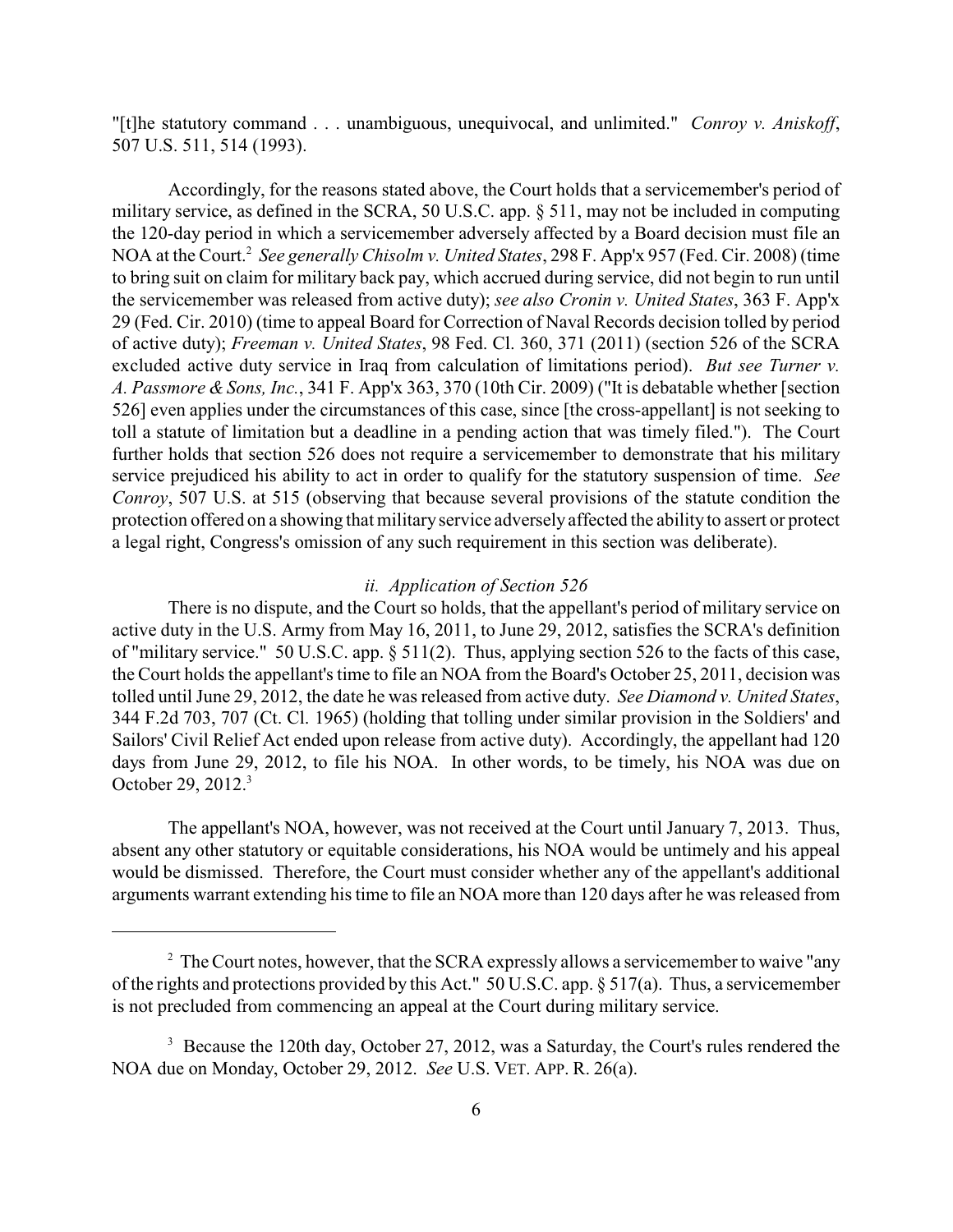"[t]he statutory command . . . unambiguous, unequivocal, and unlimited." *Conroy v. Aniskoff*, 507 U.S. 511, 514 (1993).

Accordingly, for the reasons stated above, the Court holds that a servicemember's period of military service, as defined in the SCRA, 50 U.S.C. app. § 511, may not be included in computing the 120-day period in which a servicemember adversely affected by a Board decision must file an NOA at the Court.<sup>2</sup> See generally Chisolm v. United States, 298 F. App'x 957 (Fed. Cir. 2008) (time to bring suit on claim for military back pay, which accrued during service, did not begin to run until the servicemember was released from active duty); *see also Cronin v. United States*, 363 F. App'x 29 (Fed. Cir. 2010) (time to appeal Board for Correction of Naval Records decision tolled by period of active duty); *Freeman v. United States*, 98 Fed. Cl. 360, 371 (2011) (section 526 of the SCRA excluded active duty service in Iraq from calculation of limitations period). *But see Turner v. A. Passmore & Sons, Inc.*, 341 F. App'x 363, 370 (10th Cir. 2009) ("It is debatable whether [section 526] even applies under the circumstances of this case, since [the cross-appellant] is not seeking to toll a statute of limitation but a deadline in a pending action that was timely filed."). The Court further holds that section 526 does not require a servicemember to demonstrate that his military service prejudiced his ability to act in order to qualify for the statutory suspension of time. *See Conroy*, 507 U.S. at 515 (observing that because several provisions of the statute condition the protection offered on a showing that militaryservice adversely affected the ability to assert or protect a legal right, Congress's omission of any such requirement in this section was deliberate).

# *ii. Application of Section 526*

There is no dispute, and the Court so holds, that the appellant's period of military service on active duty in the U.S. Army from May 16, 2011, to June 29, 2012, satisfies the SCRA's definition of "military service." 50 U.S.C. app. § 511(2). Thus, applying section 526 to the facts of this case, the Court holds the appellant's time to file an NOA from the Board's October 25, 2011, decision was tolled until June 29, 2012, the date he was released from active duty. *See Diamond v. United States*, 344 F.2d 703, 707 (Ct. Cl. 1965) (holding that tolling under similar provision in the Soldiers' and Sailors' Civil Relief Act ended upon release from active duty). Accordingly, the appellant had 120 days from June 29, 2012, to file his NOA. In other words, to be timely, his NOA was due on October 29, 2012.<sup>3</sup>

The appellant's NOA, however, was not received at the Court until January 7, 2013. Thus, absent any other statutory or equitable considerations, his NOA would be untimely and his appeal would be dismissed. Therefore, the Court must consider whether any of the appellant's additional arguments warrant extending his time to file an NOA more than 120 days after he was released from

 $\degree$  The Court notes, however, that the SCRA expressly allows a servicemember to waive "any of the rights and protections provided by this Act." 50 U.S.C. app. § 517(a). Thus, a servicemember is not precluded from commencing an appeal at the Court during military service.

 $3\text{}$  Because the 120th day, October 27, 2012, was a Saturday, the Court's rules rendered the NOA due on Monday, October 29, 2012. *See* U.S. VET. APP. R. 26(a).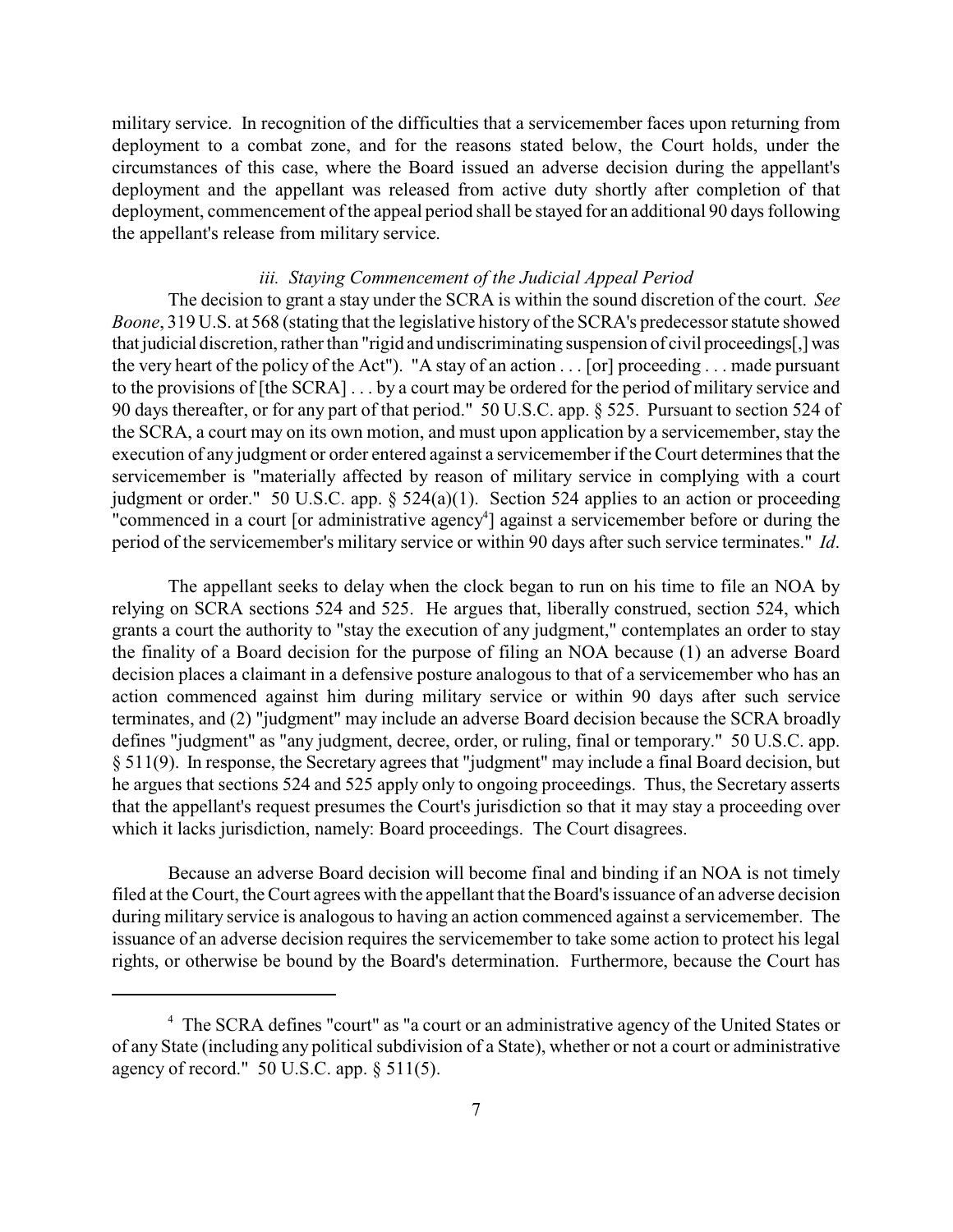military service. In recognition of the difficulties that a servicemember faces upon returning from deployment to a combat zone, and for the reasons stated below, the Court holds, under the circumstances of this case, where the Board issued an adverse decision during the appellant's deployment and the appellant was released from active duty shortly after completion of that deployment, commencement of the appeal period shall be stayed for an additional 90 days following the appellant's release from military service.

## *iii. Staying Commencement of the Judicial Appeal Period*

The decision to grant a stay under the SCRA is within the sound discretion of the court. *See Boone*, 319 U.S. at 568 (stating that the legislative history of the SCRA's predecessor statute showed that judicial discretion, rather than "rigid and undiscriminating suspension of civil proceedings[,] was the very heart of the policy of the Act"). "A stay of an action . . . [or] proceeding . . . made pursuant to the provisions of [the SCRA] . . . by a court may be ordered for the period of military service and 90 days thereafter, or for any part of that period." 50 U.S.C. app. § 525. Pursuant to section 524 of the SCRA, a court may on its own motion, and must upon application by a servicemember, stay the execution of any judgment or order entered against a servicemember if the Court determines that the servicemember is "materially affected by reason of military service in complying with a court judgment or order." 50 U.S.C. app. § 524(a)(1). Section 524 applies to an action or proceeding "commenced in a court [or administrative agency<sup>4</sup>] against a servicemember before or during the period of the servicemember's military service or within 90 days after such service terminates." *Id*.

The appellant seeks to delay when the clock began to run on his time to file an NOA by relying on SCRA sections 524 and 525. He argues that, liberally construed, section 524, which grants a court the authority to "stay the execution of any judgment," contemplates an order to stay the finality of a Board decision for the purpose of filing an NOA because (1) an adverse Board decision places a claimant in a defensive posture analogous to that of a servicemember who has an action commenced against him during military service or within 90 days after such service terminates, and (2) "judgment" may include an adverse Board decision because the SCRA broadly defines "judgment" as "any judgment, decree, order, or ruling, final or temporary." 50 U.S.C. app. § 511(9). In response, the Secretary agrees that "judgment" may include a final Board decision, but he argues that sections 524 and 525 apply only to ongoing proceedings. Thus, the Secretary asserts that the appellant's request presumes the Court's jurisdiction so that it may stay a proceeding over which it lacks jurisdiction, namely: Board proceedings. The Court disagrees.

Because an adverse Board decision will become final and binding if an NOA is not timely filed at the Court, the Court agrees with the appellant that the Board's issuance of an adverse decision during military service is analogous to having an action commenced against a servicemember. The issuance of an adverse decision requires the servicemember to take some action to protect his legal rights, or otherwise be bound by the Board's determination. Furthermore, because the Court has

<sup>&</sup>lt;sup>4</sup> The SCRA defines "court" as "a court or an administrative agency of the United States or of any State (including any political subdivision of a State), whether or not a court or administrative agency of record." 50 U.S.C. app. § 511(5).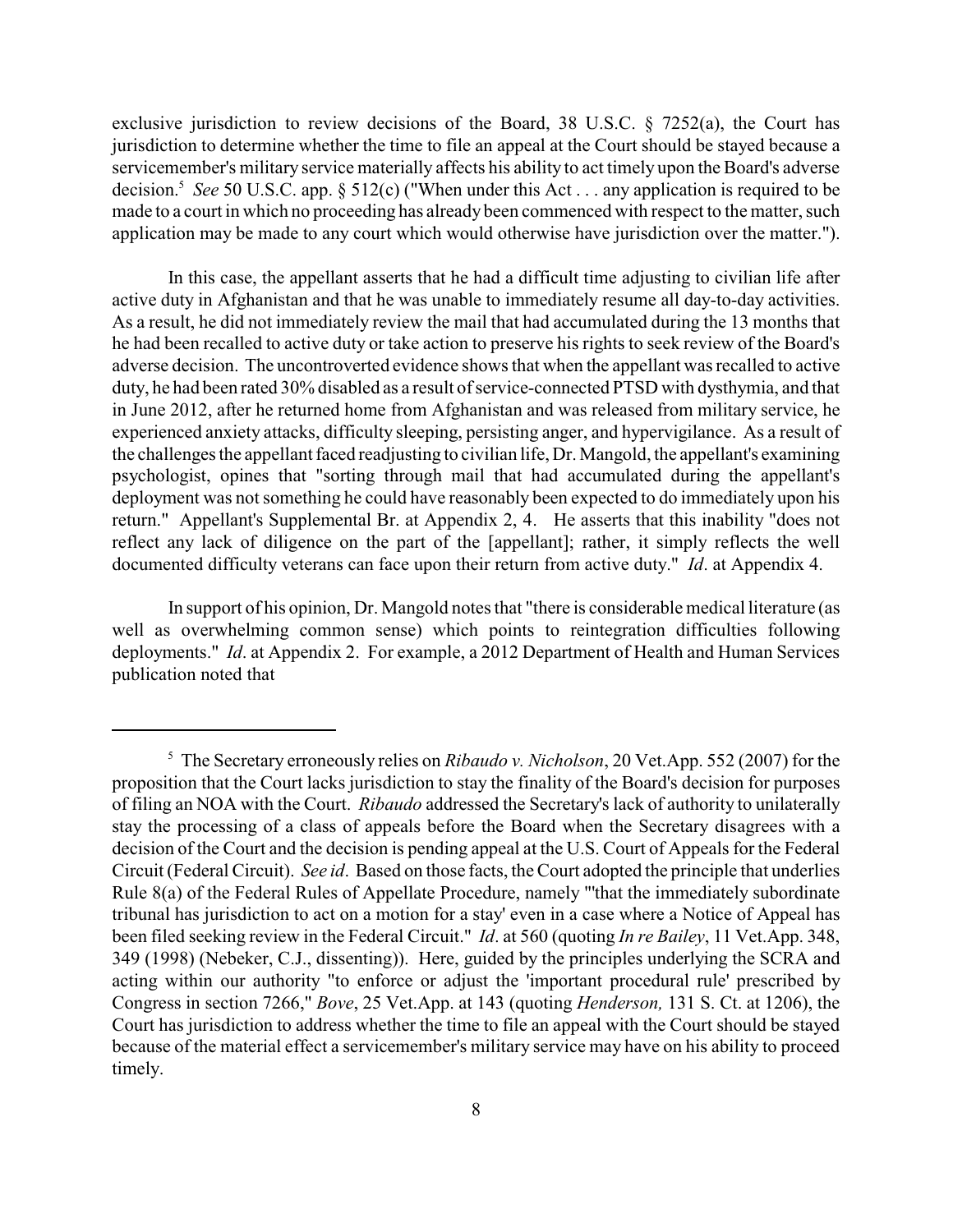exclusive jurisdiction to review decisions of the Board, 38 U.S.C. § 7252(a), the Court has jurisdiction to determine whether the time to file an appeal at the Court should be stayed because a servicemember's military service materially affects his ability to act timely upon the Board's adverse decision.<sup>5</sup> See 50 U.S.C. app.  $\S$  512(c) ("When under this Act . . . any application is required to be made to a court in which no proceeding has already been commenced with respect to the matter, such application may be made to any court which would otherwise have jurisdiction over the matter.").

In this case, the appellant asserts that he had a difficult time adjusting to civilian life after active duty in Afghanistan and that he was unable to immediately resume all day-to-day activities. As a result, he did not immediately review the mail that had accumulated during the 13 months that he had been recalled to active duty or take action to preserve his rights to seek review of the Board's adverse decision. The uncontroverted evidence shows that when the appellant was recalled to active duty, he had been rated 30% disabled as a result of service-connected PTSD with dysthymia, and that in June 2012, after he returned home from Afghanistan and was released from military service, he experienced anxiety attacks, difficulty sleeping, persisting anger, and hypervigilance. As a result of the challenges the appellant faced readjusting to civilian life, Dr. Mangold, the appellant's examining psychologist, opines that "sorting through mail that had accumulated during the appellant's deployment was not something he could have reasonably been expected to do immediately upon his return." Appellant's Supplemental Br. at Appendix 2, 4. He asserts that this inability "does not reflect any lack of diligence on the part of the [appellant]; rather, it simply reflects the well documented difficulty veterans can face upon their return from active duty." *Id*. at Appendix 4.

In support of his opinion, Dr. Mangold notes that "there is considerable medical literature (as well as overwhelming common sense) which points to reintegration difficulties following deployments." *Id*. at Appendix 2. For example, a 2012 Department of Health and Human Services publication noted that

<sup>&</sup>lt;sup>5</sup> The Secretary erroneously relies on *Ribaudo v. Nicholson*, 20 Vet.App. 552 (2007) for the proposition that the Court lacks jurisdiction to stay the finality of the Board's decision for purposes of filing an NOA with the Court. *Ribaudo* addressed the Secretary's lack of authority to unilaterally stay the processing of a class of appeals before the Board when the Secretary disagrees with a decision of the Court and the decision is pending appeal at the U.S. Court of Appeals for the Federal Circuit (Federal Circuit). *See id*. Based on those facts, the Court adopted the principle that underlies Rule 8(a) of the Federal Rules of Appellate Procedure, namely "'that the immediately subordinate tribunal has jurisdiction to act on a motion for a stay' even in a case where a Notice of Appeal has been filed seeking review in the Federal Circuit." *Id*. at 560 (quoting *In re Bailey*, 11 Vet.App. 348, 349 (1998) (Nebeker, C.J., dissenting)). Here, guided by the principles underlying the SCRA and acting within our authority "to enforce or adjust the 'important procedural rule' prescribed by Congress in section 7266," *Bove*, 25 Vet.App. at 143 (quoting *Henderson,* 131 S. Ct. at 1206), the Court has jurisdiction to address whether the time to file an appeal with the Court should be stayed because of the material effect a servicemember's military service may have on his ability to proceed timely.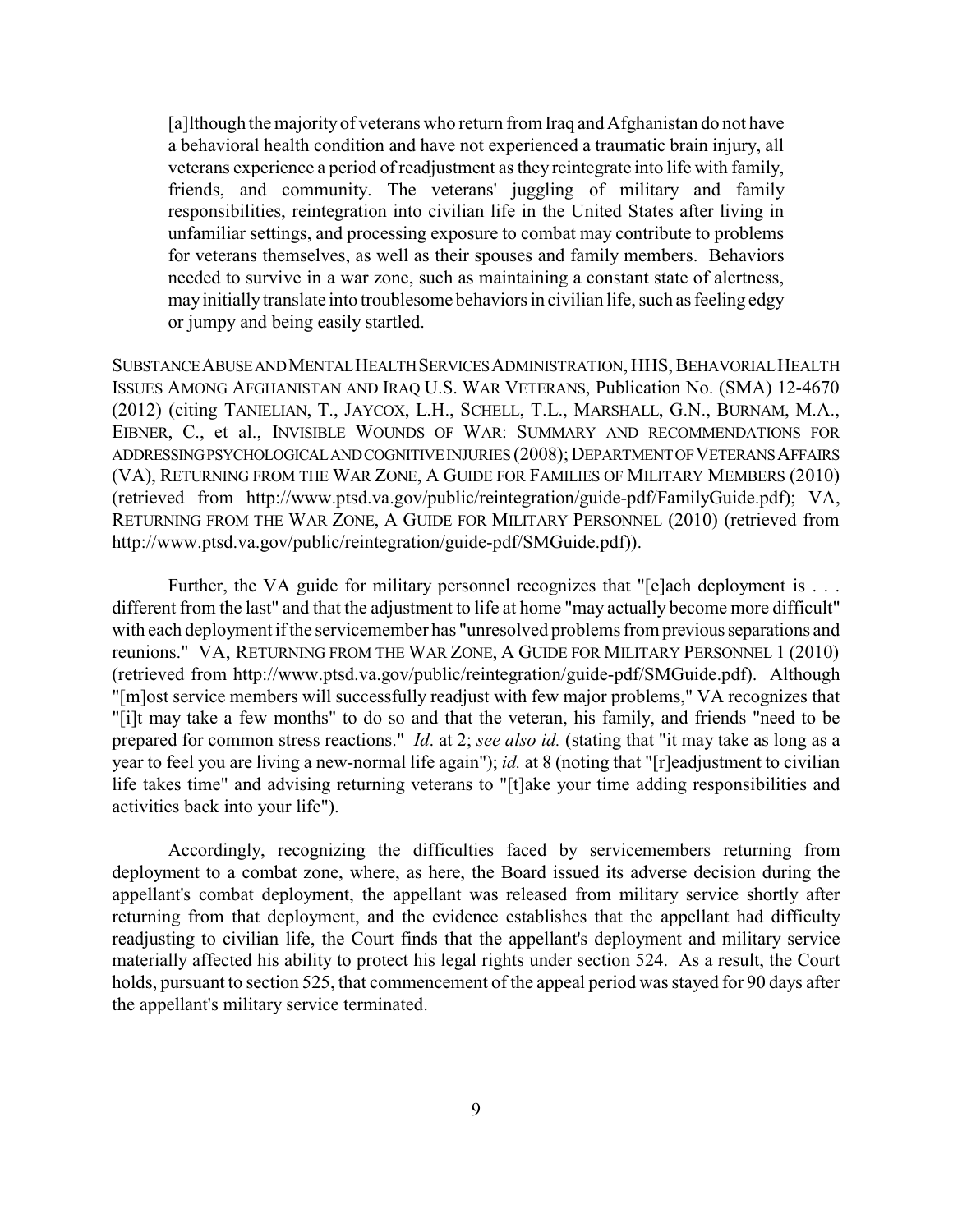[a]lthough the majority of veterans who return from Iraq and Afghanistan do not have a behavioral health condition and have not experienced a traumatic brain injury, all veterans experience a period of readjustment as they reintegrate into life with family, friends, and community. The veterans' juggling of military and family responsibilities, reintegration into civilian life in the United States after living in unfamiliar settings, and processing exposure to combat may contribute to problems for veterans themselves, as well as their spouses and family members. Behaviors needed to survive in a war zone, such as maintaining a constant state of alertness, mayinitiallytranslate into troublesome behaviors in civilian life, such as feeling edgy or jumpy and being easily startled.

SUBSTANCEABUSEANDMENTALHEALTHSERVICESADMINISTRATION, HHS, BEHAVORIALHEALTH ISSUES AMONG AFGHANISTAN AND IRAQ U.S. WAR VETERANS, Publication No. (SMA) 12-4670 (2012) (citing TANIELIAN, T., JAYCOX, L.H., SCHELL, T.L., MARSHALL, G.N., BURNAM, M.A., EIBNER, C., et al., INVISIBLE WOUNDS OF WAR: SUMMARY AND RECOMMENDATIONS FOR ADDRESSING PSYCHOLOGICAL AND COGNITIVE INJURIES (2008); DEPARTMENT OF VETERANS AFFAIRS (VA), RETURNING FROM THE WAR ZONE, A GUIDE FOR FAMILIES OF MILITARY MEMBERS (2010) (retrieved from http://www.ptsd.va.gov/public/reintegration/guide-pdf/FamilyGuide.pdf); VA, RETURNING FROM THE WAR ZONE, A GUIDE FOR MILITARY PERSONNEL (2010) (retrieved from http://www.ptsd.va.gov/public/reintegration/guide-pdf/SMGuide.pdf)).

Further, the VA guide for military personnel recognizes that "[e]ach deployment is . . . different from the last" and that the adjustment to life at home "may actually become more difficult" with each deployment if the servicemember has "unresolved problems from previousseparations and reunions." VA, RETURNING FROM THE WAR ZONE, A GUIDE FOR MILITARY PERSONNEL 1 (2010) (retrieved from http://www.ptsd.va.gov/public/reintegration/guide-pdf/SMGuide.pdf). Although "[m]ost service members will successfully readjust with few major problems," VA recognizes that "[i]t may take a few months" to do so and that the veteran, his family, and friends "need to be prepared for common stress reactions." *Id*. at 2; *see also id.* (stating that "it may take as long as a year to feel you are living a new-normal life again"); *id.* at 8 (noting that "[r]eadjustment to civilian life takes time" and advising returning veterans to "[t]ake your time adding responsibilities and activities back into your life").

Accordingly, recognizing the difficulties faced by servicemembers returning from deployment to a combat zone, where, as here, the Board issued its adverse decision during the appellant's combat deployment, the appellant was released from military service shortly after returning from that deployment, and the evidence establishes that the appellant had difficulty readjusting to civilian life, the Court finds that the appellant's deployment and military service materially affected his ability to protect his legal rights under section 524. As a result, the Court holds, pursuant to section 525, that commencement of the appeal period was stayed for 90 days after the appellant's military service terminated.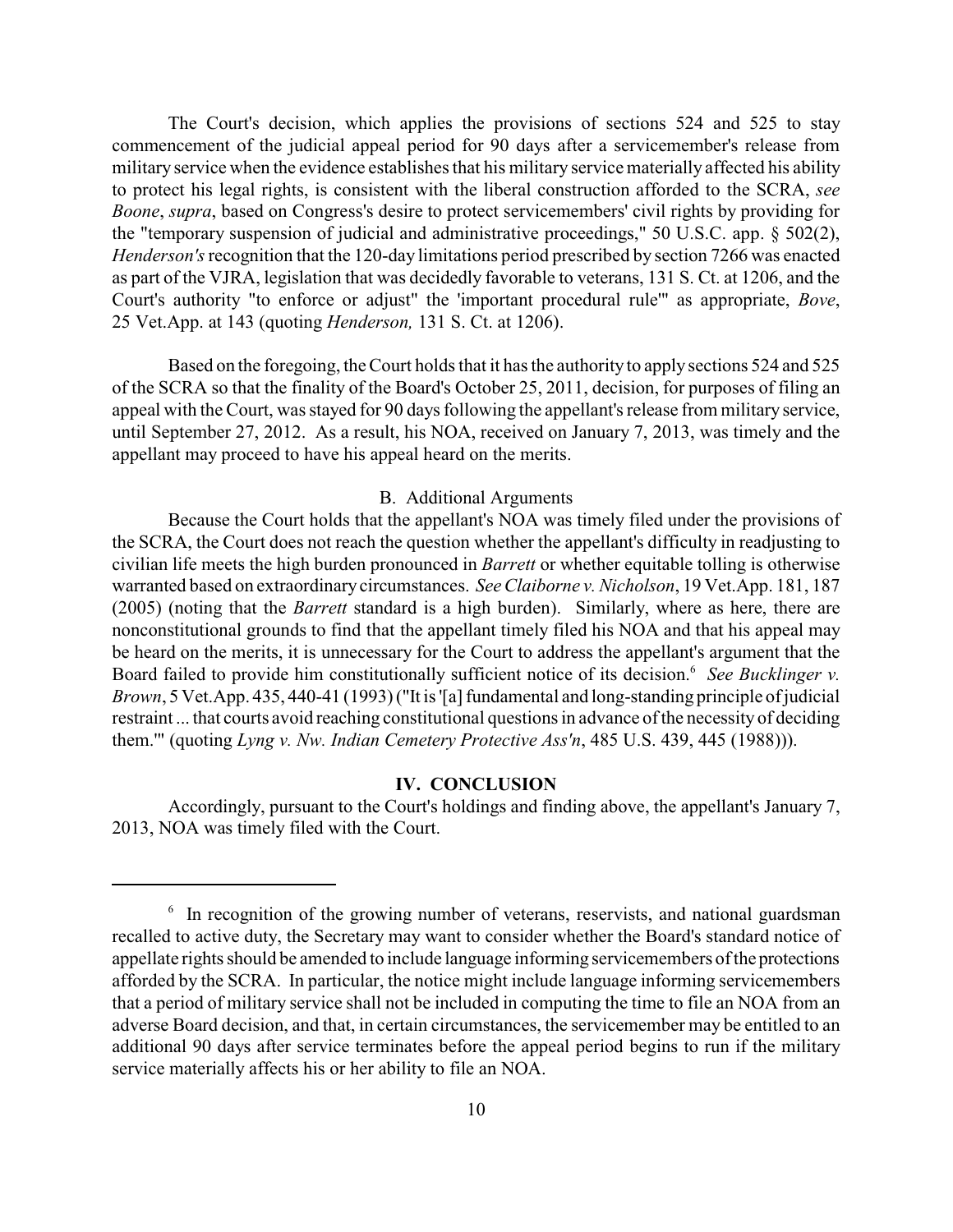The Court's decision, which applies the provisions of sections 524 and 525 to stay commencement of the judicial appeal period for 90 days after a servicemember's release from military service when the evidence establishes that his military service materially affected his ability to protect his legal rights, is consistent with the liberal construction afforded to the SCRA, *see Boone*, *supra*, based on Congress's desire to protect servicemembers' civil rights by providing for the "temporary suspension of judicial and administrative proceedings," 50 U.S.C. app. § 502(2), *Henderson's*recognition that the 120-day limitations period prescribed by section 7266 was enacted as part of the VJRA, legislation that was decidedly favorable to veterans, 131 S. Ct. at 1206, and the Court's authority "to enforce or adjust" the 'important procedural rule'" as appropriate, *Bove*, 25 Vet.App. at 143 (quoting *Henderson,* 131 S. Ct. at 1206).

Based on the foregoing, the Court holds that it has the authority to apply sections 524 and 525 of the SCRA so that the finality of the Board's October 25, 2011, decision, for purposes of filing an appeal with the Court, was stayed for 90 days following the appellant's release from military service, until September 27, 2012. As a result, his NOA, received on January 7, 2013, was timely and the appellant may proceed to have his appeal heard on the merits.

### B. Additional Arguments

Because the Court holds that the appellant's NOA was timely filed under the provisions of the SCRA, the Court does not reach the question whether the appellant's difficulty in readjusting to civilian life meets the high burden pronounced in *Barrett* or whether equitable tolling is otherwise warranted based on extraordinarycircumstances. *See Claiborne v. Nicholson*, 19 Vet.App. 181, 187 (2005) (noting that the *Barrett* standard is a high burden). Similarly, where as here, there are nonconstitutional grounds to find that the appellant timely filed his NOA and that his appeal may be heard on the merits, it is unnecessary for the Court to address the appellant's argument that the Board failed to provide him constitutionally sufficient notice of its decision.<sup>6</sup> See Bucklinger v. *Brown*, 5 Vet.App. 435, 440-41 (1993) ("It is '[a] fundamental and long-standing principle of judicial restraint ... that courts avoid reaching constitutional questions in advance of the necessity of deciding them.'" (quoting *Lyng v. Nw. Indian Cemetery Protective Ass'n*, 485 U.S. 439, 445 (1988))).

#### **IV. CONCLUSION**

Accordingly, pursuant to the Court's holdings and finding above, the appellant's January 7, 2013, NOA was timely filed with the Court.

 $\delta$  In recognition of the growing number of veterans, reservists, and national guardsman recalled to active duty, the Secretary may want to consider whether the Board's standard notice of appellate rights should be amended to include language informing servicemembers of the protections afforded by the SCRA. In particular, the notice might include language informing servicemembers that a period of military service shall not be included in computing the time to file an NOA from an adverse Board decision, and that, in certain circumstances, the servicemember may be entitled to an additional 90 days after service terminates before the appeal period begins to run if the military service materially affects his or her ability to file an NOA.